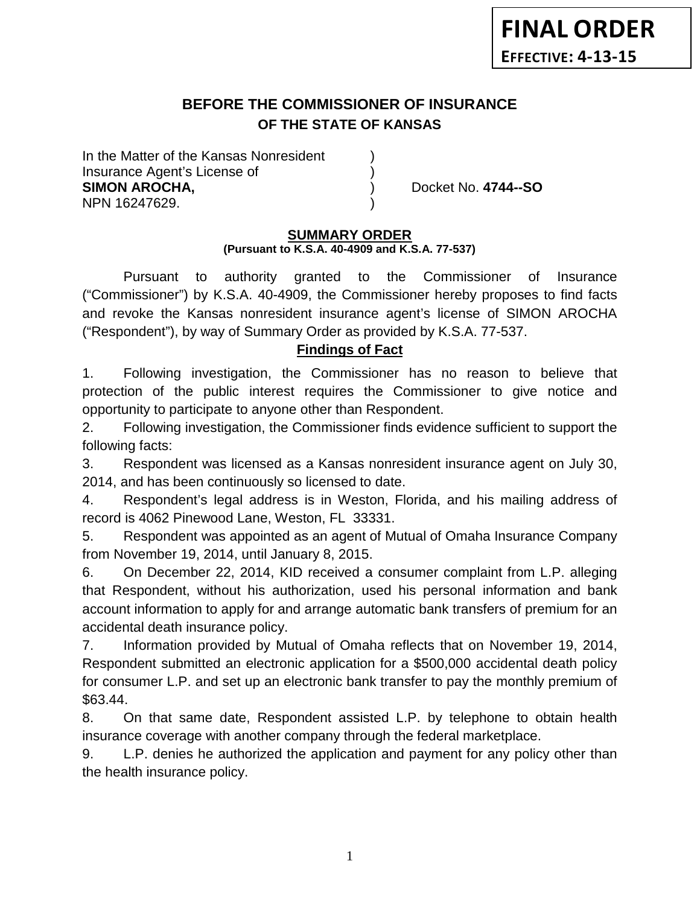# **BEFORE THE COMMISSIONER OF INSURANCE OF THE STATE OF KANSAS**

In the Matter of the Kansas Nonresident Insurance Agent's License of ) **SIMON AROCHA,** ) Docket No. **4744--SO** NPN 16247629. )

## **SUMMARY ORDER**

### **(Pursuant to K.S.A. 40-4909 and K.S.A. 77-537)**

Pursuant to authority granted to the Commissioner of Insurance ("Commissioner") by K.S.A. 40-4909, the Commissioner hereby proposes to find facts and revoke the Kansas nonresident insurance agent's license of SIMON AROCHA ("Respondent"), by way of Summary Order as provided by K.S.A. 77-537.

## **Findings of Fact**

1. Following investigation, the Commissioner has no reason to believe that protection of the public interest requires the Commissioner to give notice and opportunity to participate to anyone other than Respondent.

2. Following investigation, the Commissioner finds evidence sufficient to support the following facts:

3. Respondent was licensed as a Kansas nonresident insurance agent on July 30, 2014, and has been continuously so licensed to date.

4. Respondent's legal address is in Weston, Florida, and his mailing address of record is 4062 Pinewood Lane, Weston, FL 33331.

5. Respondent was appointed as an agent of Mutual of Omaha Insurance Company from November 19, 2014, until January 8, 2015.

6. On December 22, 2014, KID received a consumer complaint from L.P. alleging that Respondent, without his authorization, used his personal information and bank account information to apply for and arrange automatic bank transfers of premium for an accidental death insurance policy.

7. Information provided by Mutual of Omaha reflects that on November 19, 2014, Respondent submitted an electronic application for a \$500,000 accidental death policy for consumer L.P. and set up an electronic bank transfer to pay the monthly premium of \$63.44.

8. On that same date, Respondent assisted L.P. by telephone to obtain health insurance coverage with another company through the federal marketplace.

9. L.P. denies he authorized the application and payment for any policy other than the health insurance policy.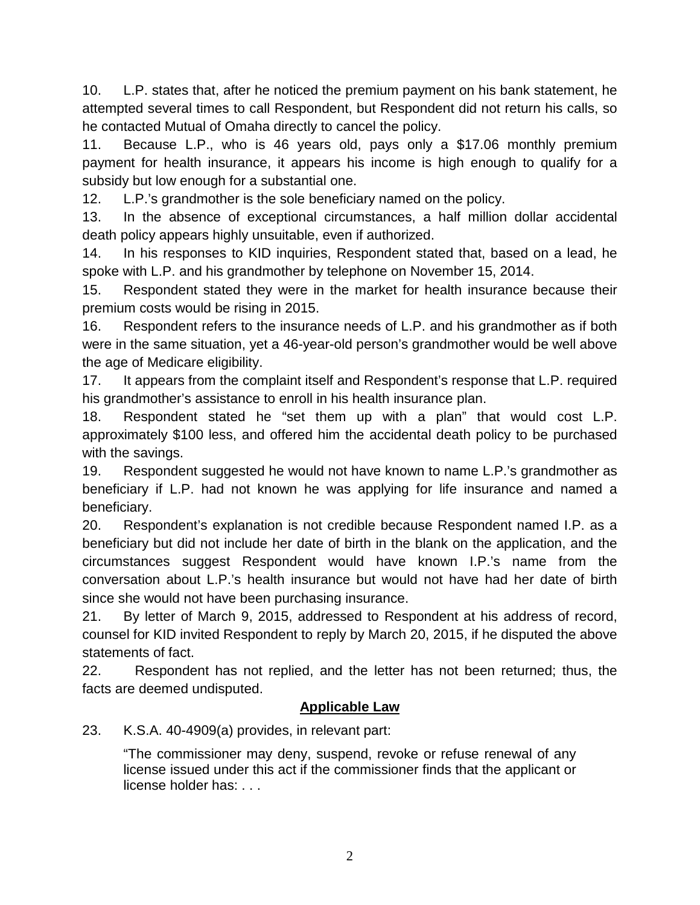10. L.P. states that, after he noticed the premium payment on his bank statement, he attempted several times to call Respondent, but Respondent did not return his calls, so he contacted Mutual of Omaha directly to cancel the policy.

11. Because L.P., who is 46 years old, pays only a \$17.06 monthly premium payment for health insurance, it appears his income is high enough to qualify for a subsidy but low enough for a substantial one.

12. L.P.'s grandmother is the sole beneficiary named on the policy.

13. In the absence of exceptional circumstances, a half million dollar accidental death policy appears highly unsuitable, even if authorized.

14. In his responses to KID inquiries, Respondent stated that, based on a lead, he spoke with L.P. and his grandmother by telephone on November 15, 2014.

15. Respondent stated they were in the market for health insurance because their premium costs would be rising in 2015.

16. Respondent refers to the insurance needs of L.P. and his grandmother as if both were in the same situation, yet a 46-year-old person's grandmother would be well above the age of Medicare eligibility.

17. It appears from the complaint itself and Respondent's response that L.P. required his grandmother's assistance to enroll in his health insurance plan.

18. Respondent stated he "set them up with a plan" that would cost L.P. approximately \$100 less, and offered him the accidental death policy to be purchased with the savings.

19. Respondent suggested he would not have known to name L.P.'s grandmother as beneficiary if L.P. had not known he was applying for life insurance and named a beneficiary.

20. Respondent's explanation is not credible because Respondent named I.P. as a beneficiary but did not include her date of birth in the blank on the application, and the circumstances suggest Respondent would have known I.P.'s name from the conversation about L.P.'s health insurance but would not have had her date of birth since she would not have been purchasing insurance.

21. By letter of March 9, 2015, addressed to Respondent at his address of record, counsel for KID invited Respondent to reply by March 20, 2015, if he disputed the above statements of fact.

22. Respondent has not replied, and the letter has not been returned; thus, the facts are deemed undisputed.

## **Applicable Law**

23. K.S.A. 40-4909(a) provides, in relevant part:

"The commissioner may deny, suspend, revoke or refuse renewal of any license issued under this act if the commissioner finds that the applicant or license holder has: . . .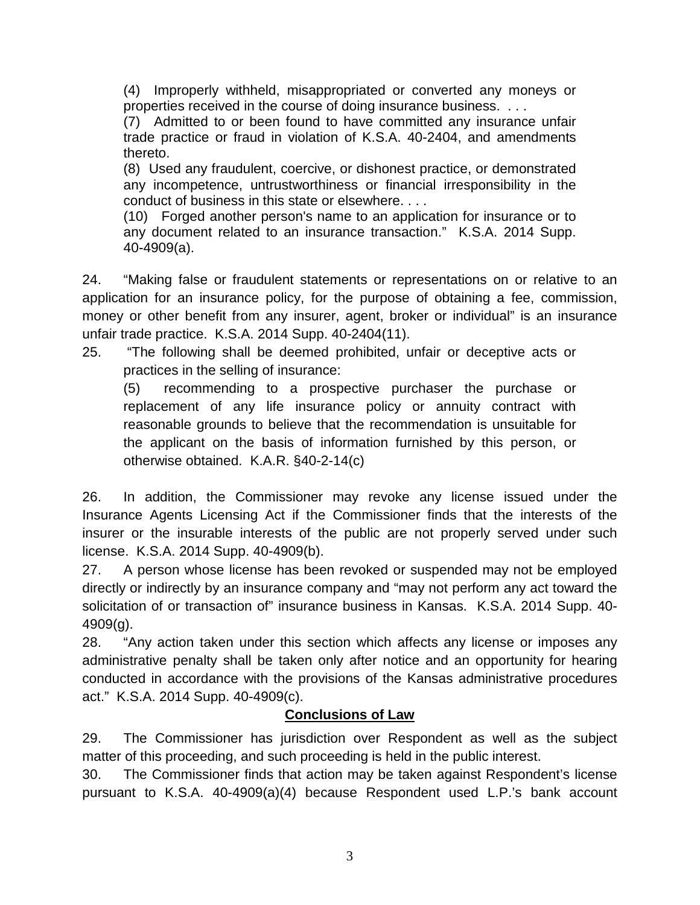(4) Improperly withheld, misappropriated or converted any moneys or properties received in the course of doing insurance business. . . .

(7) Admitted to or been found to have committed any insurance unfair trade practice or fraud in violation of K.S.A. 40-2404, and amendments thereto.

(8) Used any fraudulent, coercive, or dishonest practice, or demonstrated any incompetence, untrustworthiness or financial irresponsibility in the conduct of business in this state or elsewhere. . . .

(10) Forged another person's name to an application for insurance or to any document related to an insurance transaction." K.S.A. 2014 Supp. 40-4909(a).

24. "Making false or fraudulent statements or representations on or relative to an application for an insurance policy, for the purpose of obtaining a fee, commission, money or other benefit from any insurer, agent, broker or individual" is an insurance unfair trade practice. K.S.A. 2014 Supp. 40-2404(11).

25. "The following shall be deemed prohibited, unfair or deceptive acts or practices in the selling of insurance:

(5) recommending to a prospective purchaser the purchase or replacement of any life insurance policy or annuity contract with reasonable grounds to believe that the recommendation is unsuitable for the applicant on the basis of information furnished by this person, or otherwise obtained. K.A.R. §40-2-14(c)

26. In addition, the Commissioner may revoke any license issued under the Insurance Agents Licensing Act if the Commissioner finds that the interests of the insurer or the insurable interests of the public are not properly served under such license. K.S.A. 2014 Supp. 40-4909(b).

27. A person whose license has been revoked or suspended may not be employed directly or indirectly by an insurance company and "may not perform any act toward the solicitation of or transaction of" insurance business in Kansas. K.S.A. 2014 Supp. 40- 4909(g).

28. "Any action taken under this section which affects any license or imposes any administrative penalty shall be taken only after notice and an opportunity for hearing conducted in accordance with the provisions of the Kansas administrative procedures act." K.S.A. 2014 Supp. 40-4909(c).

## **Conclusions of Law**

29. The Commissioner has jurisdiction over Respondent as well as the subject matter of this proceeding, and such proceeding is held in the public interest.

30. The Commissioner finds that action may be taken against Respondent's license pursuant to K.S.A. 40-4909(a)(4) because Respondent used L.P.'s bank account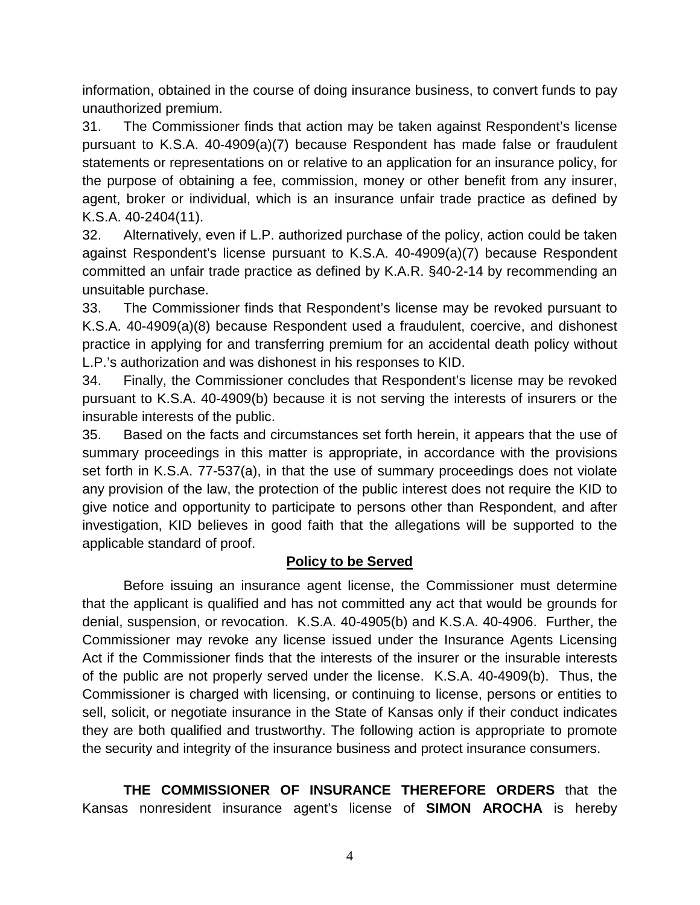information, obtained in the course of doing insurance business, to convert funds to pay unauthorized premium.

31. The Commissioner finds that action may be taken against Respondent's license pursuant to K.S.A. 40-4909(a)(7) because Respondent has made false or fraudulent statements or representations on or relative to an application for an insurance policy, for the purpose of obtaining a fee, commission, money or other benefit from any insurer, agent, broker or individual, which is an insurance unfair trade practice as defined by K.S.A. 40-2404(11).

32. Alternatively, even if L.P. authorized purchase of the policy, action could be taken against Respondent's license pursuant to K.S.A. 40-4909(a)(7) because Respondent committed an unfair trade practice as defined by K.A.R. §40-2-14 by recommending an unsuitable purchase.

33. The Commissioner finds that Respondent's license may be revoked pursuant to K.S.A. 40-4909(a)(8) because Respondent used a fraudulent, coercive, and dishonest practice in applying for and transferring premium for an accidental death policy without L.P.'s authorization and was dishonest in his responses to KID.

34. Finally, the Commissioner concludes that Respondent's license may be revoked pursuant to K.S.A. 40-4909(b) because it is not serving the interests of insurers or the insurable interests of the public.

35. Based on the facts and circumstances set forth herein, it appears that the use of summary proceedings in this matter is appropriate, in accordance with the provisions set forth in K.S.A. 77-537(a), in that the use of summary proceedings does not violate any provision of the law, the protection of the public interest does not require the KID to give notice and opportunity to participate to persons other than Respondent, and after investigation, KID believes in good faith that the allegations will be supported to the applicable standard of proof.

## **Policy to be Served**

Before issuing an insurance agent license, the Commissioner must determine that the applicant is qualified and has not committed any act that would be grounds for denial, suspension, or revocation. K.S.A. 40-4905(b) and K.S.A. 40-4906. Further, the Commissioner may revoke any license issued under the Insurance Agents Licensing Act if the Commissioner finds that the interests of the insurer or the insurable interests of the public are not properly served under the license. K.S.A. 40-4909(b). Thus, the Commissioner is charged with licensing, or continuing to license, persons or entities to sell, solicit, or negotiate insurance in the State of Kansas only if their conduct indicates they are both qualified and trustworthy. The following action is appropriate to promote the security and integrity of the insurance business and protect insurance consumers.

**THE COMMISSIONER OF INSURANCE THEREFORE ORDERS** that the Kansas nonresident insurance agent's license of **SIMON AROCHA** is hereby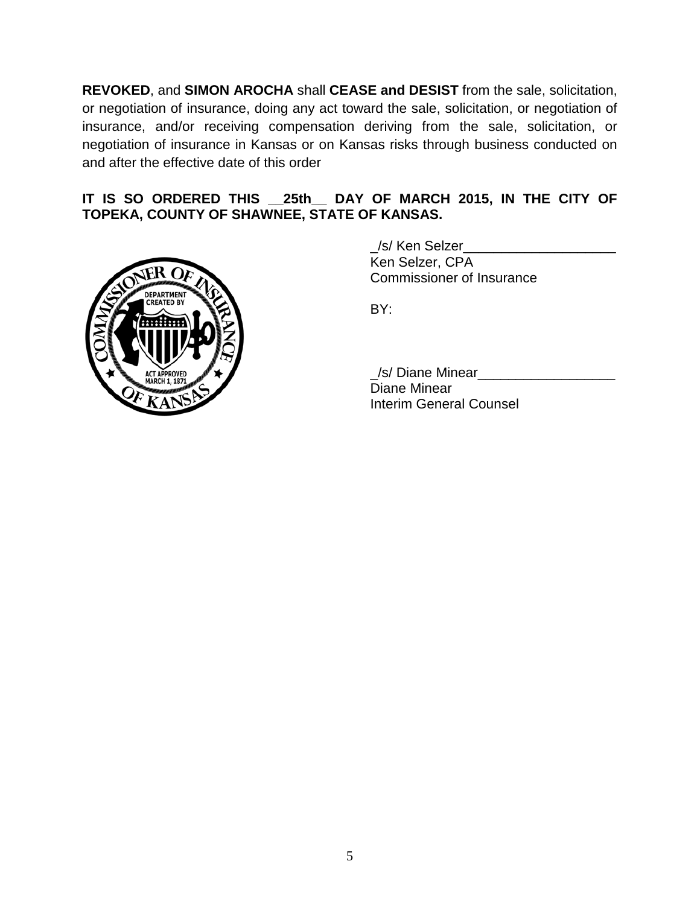**REVOKED**, and **SIMON AROCHA** shall **CEASE and DESIST** from the sale, solicitation, or negotiation of insurance, doing any act toward the sale, solicitation, or negotiation of insurance, and/or receiving compensation deriving from the sale, solicitation, or negotiation of insurance in Kansas or on Kansas risks through business conducted on and after the effective date of this order

### **IT IS SO ORDERED THIS \_\_25th\_\_ DAY OF MARCH 2015, IN THE CITY OF TOPEKA, COUNTY OF SHAWNEE, STATE OF KANSAS.**



/s/ Ken Selzer Ken Selzer, CPA Commissioner of Insurance

BY:

/s/ Diane Minear Diane Minear Interim General Counsel